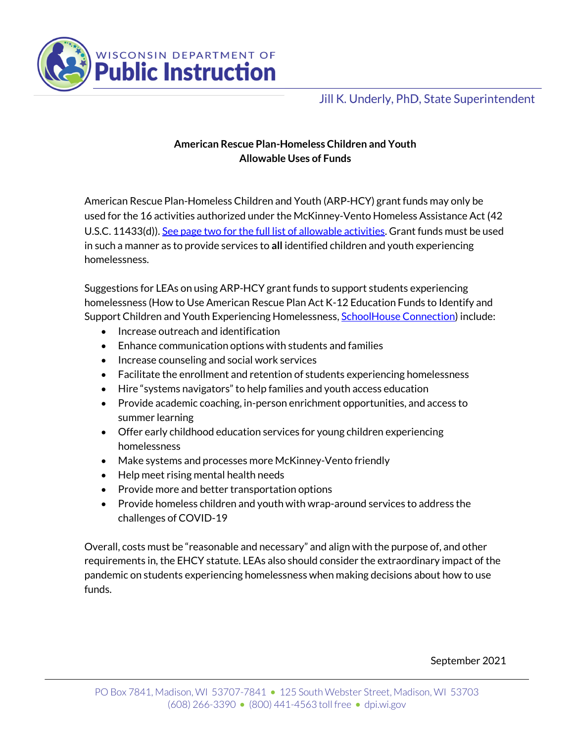

## Jill K. Underly, PhD, State Superintendent

## **American Rescue Plan-Homeless Children and Youth Allowable Uses of Funds**

American Rescue Plan-Homeless Children and Youth (ARP-HCY) grant funds may only be used for the 16 activities authorized under the McKinney-Vento Homeless Assistance Act (42 U.S.C. 11433(d)). See page two for the full list of allowable activities. Grant funds must be used in such a manner as to provide services to **all** identified children and youth experiencing homelessness.

Suggestions for LEAs on using ARP-HCY grant funds to support students experiencing homelessness (How to Use American Rescue Plan Act K-12 Education Funds to Identify and Support Children and Youth Experiencing Homelessness, SchoolHouse Connection) include:

- Increase outreach and identification
- Enhance communication options with students and families
- Increase counseling and social work services
- Facilitate the enrollment and retention of students experiencing homelessness
- Hire "systems navigators" to help families and youth access education
- Provide academic coaching, in-person enrichment opportunities, and access to summer learning
- Offer early childhood education services for young children experiencing homelessness
- Make systems and processes more McKinney-Vento friendly
- Help meet rising mental health needs
- Provide more and better transportation options
- Provide homeless children and youth with wrap-around services to address the challenges of COVID-19

Overall, costs must be "reasonable and necessary" and align with the purpose of, and other requirements in, the EHCY statute. LEAs also should consider the extraordinary impact of the pandemic on students experiencing homelessness when making decisions about how to use funds.

September 2021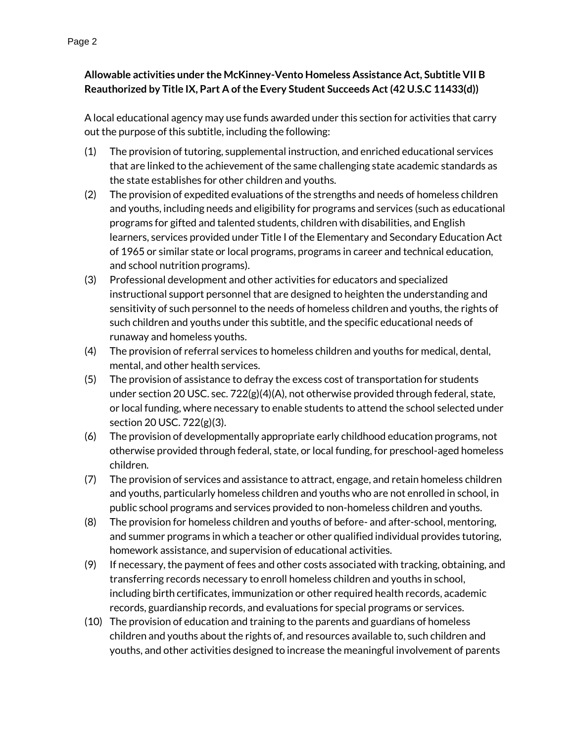## **Allowable activities under the McKinney-Vento Homeless Assistance Act, Subtitle VII B Reauthorized by Title IX, Part A of the Every Student Succeeds Act (42 U.S.C 11433(d))**

A local educational agency may use funds awarded under this section for activities that carry out the purpose of this subtitle, including the following:

- (1) The provision of tutoring, supplemental instruction, and enriched educational services that are linked to the achievement of the same challenging state academic standards as the state establishes for other children and youths.
- (2) The provision of expedited evaluations of the strengths and needs of homeless children and youths, including needs and eligibility for programs and services (such as educational programs for gifted and talented students, children with disabilities, and English learners, services provided under Title I of the Elementary and Secondary Education Act of 1965 or similar state or local programs, programs in career and technical education, and school nutrition programs).
- (3) Professional development and other activities for educators and specialized instructional support personnel that are designed to heighten the understanding and sensitivity of such personnel to the needs of homeless children and youths, the rights of such children and youths under this subtitle, and the specific educational needs of runaway and homeless youths.
- (4) The provision of referral services to homeless children and youths for medical, dental, mental, and other health services.
- (5) The provision of assistance to defray the excess cost of transportation for students under section 20 USC. sec.  $722(g)(4)(A)$ , not otherwise provided through federal, state, or local funding, where necessary to enable students to attend the school selected under section 20 USC. 722(g)(3).
- (6) The provision of developmentally appropriate early childhood education programs, not otherwise provided through federal, state, or local funding, for preschool-aged homeless children.
- (7) The provision of services and assistance to attract, engage, and retain homeless children and youths, particularly homeless children and youths who are not enrolled in school, in public school programs and services provided to non-homeless children and youths.
- (8) The provision for homeless children and youths of before- and after-school, mentoring, and summer programs in which a teacher or other qualified individual provides tutoring, homework assistance, and supervision of educational activities.
- (9) If necessary, the payment of fees and other costs associated with tracking, obtaining, and transferring records necessary to enroll homeless children and youths in school, including birth certificates, immunization or other required health records, academic records, guardianship records, and evaluations for special programs or services.
- (10) The provision of education and training to the parents and guardians of homeless children and youths about the rights of, and resources available to, such children and youths, and other activities designed to increase the meaningful involvement of parents